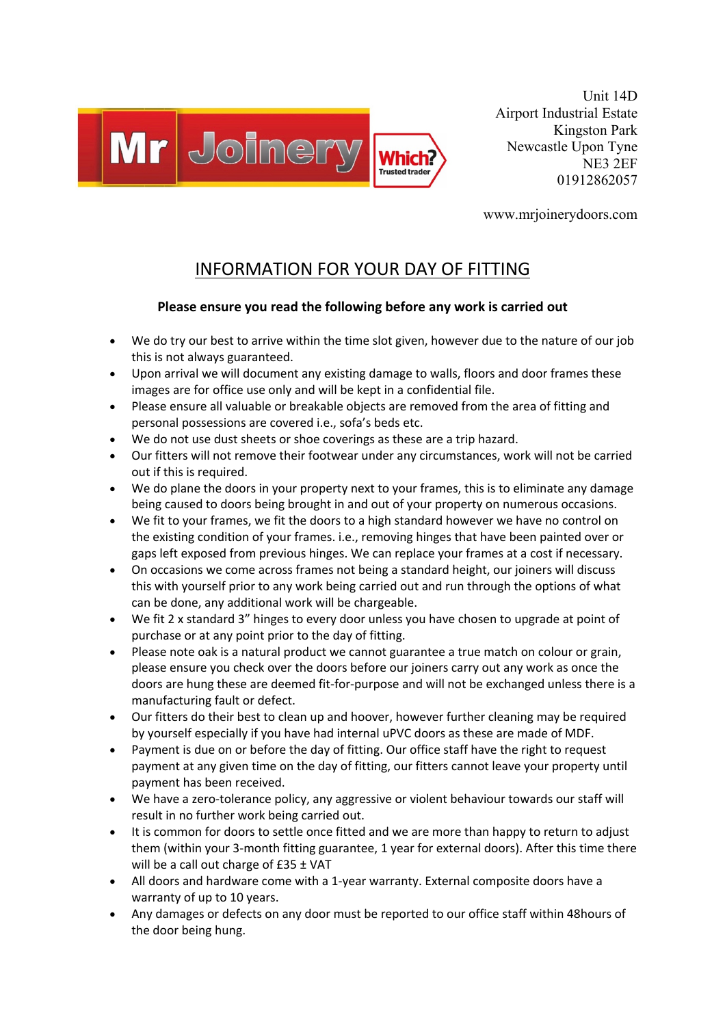

Unit 14D Airport Industrial Estate Kingston Park Newcastle Upon Tyne NE3 2EF 01912862057

www.mrjoinerydoors.com

## INFORMATION FOR YOUR DAY OF FITTING

## **Please ensure you read the following before any work is carried out**

- We do try our best to arrive within the time slot given, however due to the nature of our job this is not always guaranteed.
- Upon arrival we will document any existing damage to walls, floors and door frames these images are for office use only and will be kept in a confidential file.
- Please ensure all valuable or breakable objects are removed from the area of fitting and personal possessions are covered i.e., sofa's beds etc.
- We do not use dust sheets or shoe coverings as these are a trip hazard.
- Our fitters will not remove their footwear under any circumstances, work will not be carried out if this is required.
- We do plane the doors in your property next to your frames, this is to eliminate any damage being caused to doors being brought in and out of your property on numerous occasions.
- We fit to your frames, we fit the doors to a high standard however we have no control on the existing condition of your frames. i.e., removing hinges that have been painted over or gaps left exposed from previous hinges. We can replace your frames at a cost if necessary.
- On occasions we come across frames not being a standard height, our joiners will discuss this with yourself prior to any work being carried out and run through the options of what can be done, any additional work will be chargeable.
- We fit 2 x standard 3" hinges to every door unless you have chosen to upgrade at point of purchase or at any point prior to the day of fitting.
- Please note oak is a natural product we cannot guarantee a true match on colour or grain, please ensure you check over the doors before our joiners carry out any work as once the doors are hung these are deemed fit-for-purpose and will not be exchanged unless there is a manufacturing fault or defect.
- Our fitters do their best to clean up and hoover, however further cleaning may be required by yourself especially if you have had internal uPVC doors as these are made of MDF.
- Payment is due on or before the day of fitting. Our office staff have the right to request payment at any given time on the day of fitting, our fitters cannot leave your property until payment has been received.
- We have a zero-tolerance policy, any aggressive or violent behaviour towards our staff will result in no further work being carried out.
- It is common for doors to settle once fitted and we are more than happy to return to adjust them (within your 3-month fitting guarantee, 1 year for external doors). After this time there will be a call out charge of £35 ± VAT
- All doors and hardware come with a 1-year warranty. External composite doors have a warranty of up to 10 years.
- Any damages or defects on any door must be reported to our office staff within 48hours of the door being hung.